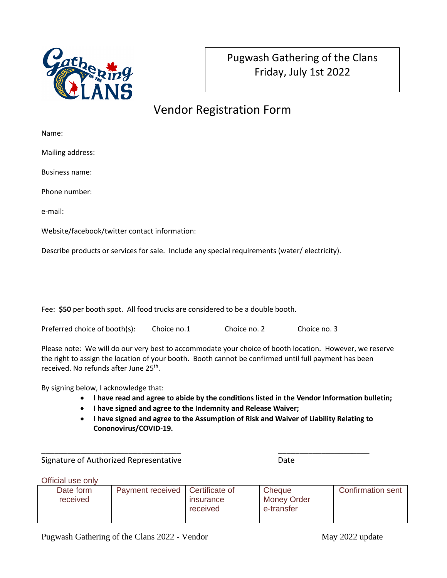

## Vendor Registration Form

Name:

Mailing address:

Business name:

Phone number:

e-mail:

Website/facebook/twitter contact information:

Describe products or services for sale. Include any special requirements (water/ electricity).

Fee: **\$50** per booth spot. All food trucks are considered to be a double booth.

| Preferred choice of booth(s): | Choice no.1 | Choice no. 2 | Choice no. 3 |
|-------------------------------|-------------|--------------|--------------|
|-------------------------------|-------------|--------------|--------------|

Please note: We will do our very best to accommodate your choice of booth location. However, we reserve the right to assign the location of your booth. Booth cannot be confirmed until full payment has been received. No refunds after June 25<sup>th</sup>.

By signing below, I acknowledge that:

- **I have read and agree to abide by the conditions listed in the Vendor Information bulletin;**
- **I have signed and agree to the Indemnity and Release Waiver;**

\_\_\_\_\_\_\_\_\_\_\_\_\_\_\_\_\_\_\_\_\_\_\_\_\_\_\_\_\_\_\_\_ \_\_\_\_\_\_\_\_\_\_\_\_\_\_\_\_\_\_\_\_\_

• **I have signed and agree to the Assumption of Risk and Waiver of Liability Relating to Cononovirus/COVID-19.**

Signature of Authorized Representative **Date** Date

Official use only

| Date form | Payment received   Certificate of |                  | Cheque             | Confirmation sent |
|-----------|-----------------------------------|------------------|--------------------|-------------------|
| received  |                                   | <b>Insurance</b> | <b>Money Order</b> |                   |
|           |                                   | received         | e-transfer         |                   |
|           |                                   |                  |                    |                   |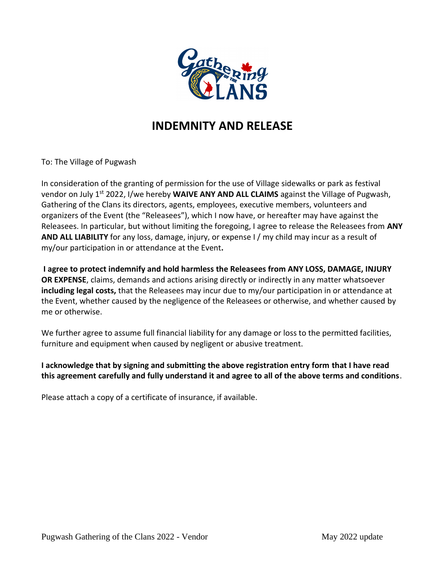

## **INDEMNITY AND RELEASE**

To: The Village of Pugwash

In consideration of the granting of permission for the use of Village sidewalks or park as festival vendor on July 1st 2022, I/we hereby **WAIVE ANY AND ALL CLAIMS** against the Village of Pugwash, Gathering of the Clans its directors, agents, employees, executive members, volunteers and organizers of the Event (the "Releasees"), which I now have, or hereafter may have against the Releasees. In particular, but without limiting the foregoing, I agree to release the Releasees from ANY **AND ALL LIABILITY** for any loss, damage, injury, or expense I / my child may incur as a result of my/our participation in or attendance at the Event**.**

**I agree to protect indemnify and hold harmless the Releasees from ANY LOSS, DAMAGE, INJURY OR EXPENSE**, claims, demands and actions arising directly or indirectly in any matter whatsoever **including legal costs,** that the Releasees may incur due to my/our participation in or attendance at the Event, whether caused by the negligence of the Releasees or otherwise, and whether caused by me or otherwise.

We further agree to assume full financial liability for any damage or loss to the permitted facilities, furniture and equipment when caused by negligent or abusive treatment.

**I acknowledge that by signing and submitting the above registration entry form that I have read this agreement carefully and fully understand it and agree to all of the above terms and conditions**.

Please attach a copy of a certificate of insurance, if available.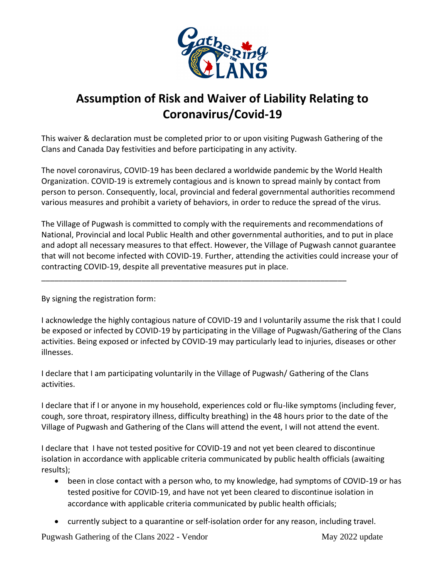

## **Assumption of Risk and Waiver of Liability Relating to Coronavirus/Covid-19**

This waiver & declaration must be completed prior to or upon visiting Pugwash Gathering of the Clans and Canada Day festivities and before participating in any activity.

The novel coronavirus, COVID-19 has been declared a worldwide pandemic by the World Health Organization. COVID-19 is extremely contagious and is known to spread mainly by contact from person to person. Consequently, local, provincial and federal governmental authorities recommend various measures and prohibit a variety of behaviors, in order to reduce the spread of the virus.

The Village of Pugwash is committed to comply with the requirements and recommendations of National, Provincial and local Public Health and other governmental authorities, and to put in place and adopt all necessary measures to that effect. However, the Village of Pugwash cannot guarantee that will not become infected with COVID-19. Further, attending the activities could increase your of contracting COVID-19, despite all preventative measures put in place.

By signing the registration form:

I acknowledge the highly contagious nature of COVID-19 and I voluntarily assume the risk that I could be exposed or infected by COVID-19 by participating in the Village of Pugwash/Gathering of the Clans activities. Being exposed or infected by COVID-19 may particularly lead to injuries, diseases or other illnesses.

I declare that I am participating voluntarily in the Village of Pugwash/ Gathering of the Clans activities.

\_\_\_\_\_\_\_\_\_\_\_\_\_\_\_\_\_\_\_\_\_\_\_\_\_\_\_\_\_\_\_\_\_\_\_\_\_\_\_\_\_\_\_\_\_\_\_\_\_\_\_\_\_\_\_\_\_\_\_\_\_\_\_\_\_\_\_\_\_\_

I declare that if I or anyone in my household, experiences cold or flu-like symptoms (including fever, cough, sore throat, respiratory illness, difficulty breathing) in the 48 hours prior to the date of the Village of Pugwash and Gathering of the Clans will attend the event, I will not attend the event.

I declare that I have not tested positive for COVID-19 and not yet been cleared to discontinue isolation in accordance with applicable criteria communicated by public health officials (awaiting results);

- been in close contact with a person who, to my knowledge, had symptoms of COVID-19 or has tested positive for COVID-19, and have not yet been cleared to discontinue isolation in accordance with applicable criteria communicated by public health officials;
- currently subject to a quarantine or self-isolation order for any reason, including travel.

Pugwash Gathering of the Clans 2022 - Vendor May 2022 update May 2022 update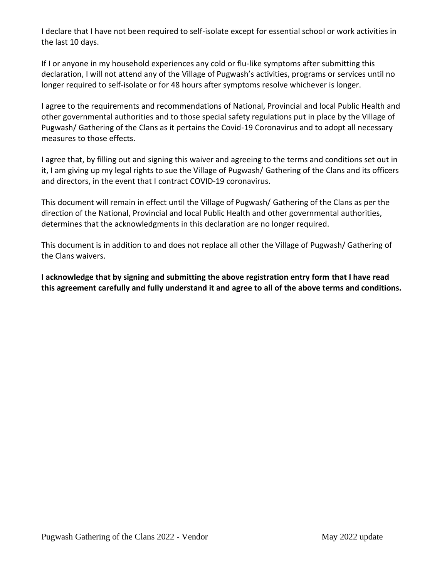I declare that I have not been required to self-isolate except for essential school or work activities in the last 10 days.

If I or anyone in my household experiences any cold or flu-like symptoms after submitting this declaration, I will not attend any of the Village of Pugwash's activities, programs or services until no longer required to self-isolate or for 48 hours after symptoms resolve whichever is longer.

I agree to the requirements and recommendations of National, Provincial and local Public Health and other governmental authorities and to those special safety regulations put in place by the Village of Pugwash/ Gathering of the Clans as it pertains the Covid-19 Coronavirus and to adopt all necessary measures to those effects.

I agree that, by filling out and signing this waiver and agreeing to the terms and conditions set out in it, I am giving up my legal rights to sue the Village of Pugwash/ Gathering of the Clans and its officers and directors, in the event that I contract COVID-19 coronavirus.

This document will remain in effect until the Village of Pugwash/ Gathering of the Clans as per the direction of the National, Provincial and local Public Health and other governmental authorities, determines that the acknowledgments in this declaration are no longer required.

This document is in addition to and does not replace all other the Village of Pugwash/ Gathering of the Clans waivers.

**I acknowledge that by signing and submitting the above registration entry form that I have read this agreement carefully and fully understand it and agree to all of the above terms and conditions.**